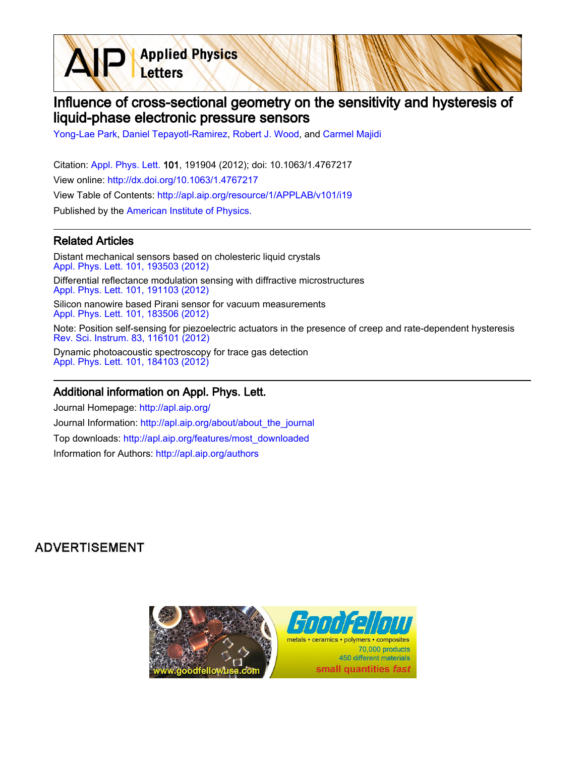**Applied Physics** Letters

# Influence of cross-sectional geometry on the sensitivity and hysteresis of liquid-phase electronic pressure sensors

[Yong-Lae Park,](http://apl.aip.org/search?sortby=newestdate&q=&searchzone=2&searchtype=searchin&faceted=faceted&key=AIP_ALL&possible1=Yong-Lae Park&possible1zone=author&alias=&displayid=AIP&ver=pdfcov) [Daniel Tepayotl-Ramirez](http://apl.aip.org/search?sortby=newestdate&q=&searchzone=2&searchtype=searchin&faceted=faceted&key=AIP_ALL&possible1=Daniel Tepayotl-Ramirez&possible1zone=author&alias=&displayid=AIP&ver=pdfcov), [Robert J. Wood](http://apl.aip.org/search?sortby=newestdate&q=&searchzone=2&searchtype=searchin&faceted=faceted&key=AIP_ALL&possible1=Robert J. Wood&possible1zone=author&alias=&displayid=AIP&ver=pdfcov), and [Carmel Majidi](http://apl.aip.org/search?sortby=newestdate&q=&searchzone=2&searchtype=searchin&faceted=faceted&key=AIP_ALL&possible1=Carmel Majidi&possible1zone=author&alias=&displayid=AIP&ver=pdfcov)

Citation: [Appl. Phys. Lett. 1](http://apl.aip.org/?ver=pdfcov)01, 191904 (2012); doi: 10.1063/1.4767217 View online: [http://dx.doi.org/10.1063/1.4767217](http://link.aip.org/link/doi/10.1063/1.4767217?ver=pdfcov) View Table of Contents: [http://apl.aip.org/resource/1/APPLAB/v101/i19](http://apl.aip.org/resource/1/APPLAB/v101/i19?ver=pdfcov) Published by the [American Institute of Physics.](http://www.aip.org/?ver=pdfcov)

### Related Articles

Distant mechanical sensors based on cholesteric liquid crystals [Appl. Phys. Lett. 101, 193503 \(2012\)](http://link.aip.org/link/doi/10.1063/1.4764525?ver=pdfcov) Differential reflectance modulation sensing with diffractive microstructures [Appl. Phys. Lett. 101, 191103 \(2012\)](http://link.aip.org/link/doi/10.1063/1.4766190?ver=pdfcov) Silicon nanowire based Pirani sensor for vacuum measurements [Appl. Phys. Lett. 101, 183506 \(2012\)](http://link.aip.org/link/doi/10.1063/1.4765665?ver=pdfcov) Note: Position self-sensing for piezoelectric actuators in the presence of creep and rate-dependent hysteresis [Rev. Sci. Instrum. 83, 116101 \(2012\)](http://link.aip.org/link/doi/10.1063/1.4764949?ver=pdfcov)

Dynamic photoacoustic spectroscopy for trace gas detection [Appl. Phys. Lett. 101, 184103 \(2012\)](http://link.aip.org/link/doi/10.1063/1.4764515?ver=pdfcov)

#### Additional information on Appl. Phys. Lett.

Journal Homepage: [http://apl.aip.org/](http://apl.aip.org/?ver=pdfcov) Journal Information: [http://apl.aip.org/about/about\\_the\\_journal](http://apl.aip.org/about/about_the_journal?ver=pdfcov) Top downloads: [http://apl.aip.org/features/most\\_downloaded](http://apl.aip.org/features/most_downloaded?ver=pdfcov) Information for Authors: [http://apl.aip.org/authors](http://apl.aip.org/authors?ver=pdfcov)

## **ADVERTISEMENT**

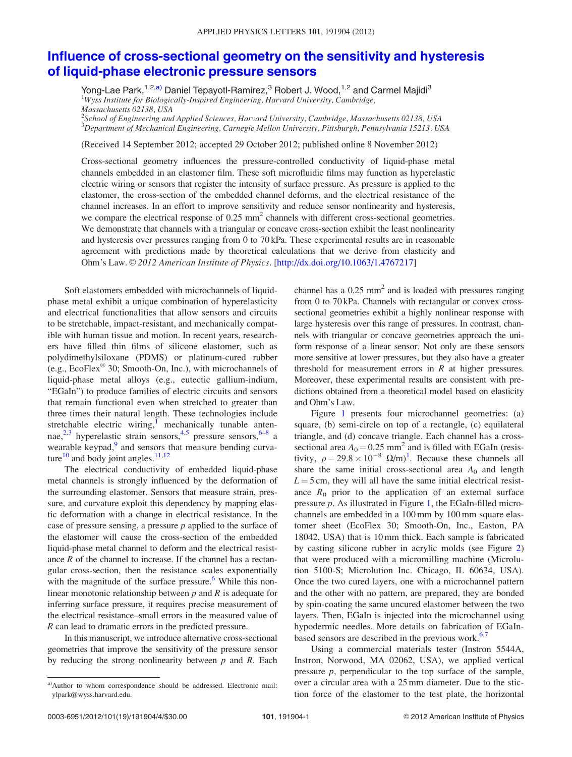## [Influence of cross-sectional geometry on the sensitivity and hysteresis](http://dx.doi.org/10.1063/1.4767217) [of liquid-phase electronic pressure sensors](http://dx.doi.org/10.1063/1.4767217)

Yong-Lae Park,<sup>1,2,a)</sup> Daniel Tepayotl-Ramirez,<sup>3</sup> Robert J. Wood,<sup>1,2</sup> and Carmel Majidi<sup>3</sup> <sup>1</sup>Wyss Institute for Biologically-Inspired Engineering, Harvard University, Cambridge, Massachusetts 02138, USA

 $^2$ School of Engineering and Applied Sciences, Harvard University, Cambridge, Massachusetts 02138, USA 3 Department of Mechanical Engineering, Carnegie Mellon University, Pittsburgh, Pennsylvania 15213, USA

(Received 14 September 2012; accepted 29 October 2012; published online 8 November 2012)

Cross-sectional geometry influences the pressure-controlled conductivity of liquid-phase metal channels embedded in an elastomer film. These soft microfluidic films may function as hyperelastic electric wiring or sensors that register the intensity of surface pressure. As pressure is applied to the elastomer, the cross-section of the embedded channel deforms, and the electrical resistance of the channel increases. In an effort to improve sensitivity and reduce sensor nonlinearity and hysteresis, we compare the electrical response of  $0.25 \text{ mm}^2$  channels with different cross-sectional geometries. We demonstrate that channels with a triangular or concave cross-section exhibit the least nonlinearity and hysteresis over pressures ranging from 0 to 70 kPa. These experimental results are in reasonable agreement with predictions made by theoretical calculations that we derive from elasticity and Ohm's Law. © 2012 American Institute of Physics. [[http://dx.doi.org/10.1063/1.4767217\]](http://dx.doi.org/10.1063/1.4767217)

Soft elastomers embedded with microchannels of liquidphase metal exhibit a unique combination of hyperelasticity and electrical functionalities that allow sensors and circuits to be stretchable, impact-resistant, and mechanically compatible with human tissue and motion. In recent years, researchers have filled thin films of silicone elastomer, such as polydimethylsiloxane (PDMS) or platinum-cured rubber (e.g., EcoFlex $^{\circledR}$  30; Smooth-On, Inc.), with microchannels of liquid-phase metal alloys (e.g., eutectic gallium-indium, "EGaIn") to produce families of electric circuits and sensors that remain functional even when stretched to greater than three times their natural length. These technologies include stretchable electric wiring,<sup>[1](#page-4-0)</sup> mechanically tunable antennae, $^{2,3}$  $^{2,3}$  $^{2,3}$  hyperelastic strain sensors, $^{4,5}$  $^{4,5}$  $^{4,5}$  pressure sensors, $^{6-8}$  a wearable keypad, $9$  and sensors that measure bending curva-ture<sup>[10](#page-4-0)</sup> and body joint angles.<sup>[11,12](#page-4-0)</sup>

The electrical conductivity of embedded liquid-phase metal channels is strongly influenced by the deformation of the surrounding elastomer. Sensors that measure strain, pressure, and curvature exploit this dependency by mapping elastic deformation with a change in electrical resistance. In the case of pressure sensing, a pressure  $p$  applied to the surface of the elastomer will cause the cross-section of the embedded liquid-phase metal channel to deform and the electrical resistance R of the channel to increase. If the channel has a rectangular cross-section, then the resistance scales exponentially with the magnitude of the surface pressure.<sup>6</sup> While this nonlinear monotonic relationship between  $p$  and  $R$  is adequate for inferring surface pressure, it requires precise measurement of the electrical resistance–small errors in the measured value of R can lead to dramatic errors in the predicted pressure.

In this manuscript, we introduce alternative cross-sectional geometries that improve the sensitivity of the pressure sensor by reducing the strong nonlinearity between  $p$  and  $R$ . Each channel has a  $0.25$  mm<sup>2</sup> and is loaded with pressures ranging from 0 to 70 kPa. Channels with rectangular or convex crosssectional geometries exhibit a highly nonlinear response with large hysteresis over this range of pressures. In contrast, channels with triangular or concave geometries approach the uniform response of a linear sensor. Not only are these sensors more sensitive at lower pressures, but they also have a greater threshold for measurement errors in  $R$  at higher pressures. Moreover, these experimental results are consistent with predictions obtained from a theoretical model based on elasticity and Ohm's Law.

Figure [1](#page-2-0) presents four microchannel geometries: (a) square, (b) semi-circle on top of a rectangle, (c) equilateral triangle, and (d) concave triangle. Each channel has a crosssectional area  $A_0 = 0.25$  mm<sup>2</sup> and is filled with EGaIn (resistivity,  $\rho = 29.8 \times 10^{-8} \Omega/m$  $\rho = 29.8 \times 10^{-8} \Omega/m$  $\rho = 29.8 \times 10^{-8} \Omega/m$ <sup>1</sup>. Because these channels all share the same initial cross-sectional area  $A_0$  and length  $L = 5$  cm, they will all have the same initial electrical resistance  $R_0$  prior to the application of an external surface pressure  $p$ . As illustrated in Figure [1,](#page-2-0) the EGaIn-filled microchannels are embedded in a 100 mm by 100 mm square elastomer sheet (EcoFlex 30; Smooth-On, Inc., Easton, PA 18042, USA) that is 10 mm thick. Each sample is fabricated by casting silicone rubber in acrylic molds (see Figure [2\)](#page-2-0) that were produced with a micromilling machine (Microlution 5100-S; Microlution Inc. Chicago, IL 60634, USA). Once the two cured layers, one with a microchannel pattern and the other with no pattern, are prepared, they are bonded by spin-coating the same uncured elastomer between the two layers. Then, EGaIn is injected into the microchannel using hypodermic needles. More details on fabrication of EGaInbased sensors are described in the previous work. $6,7$ 

Using a commercial materials tester (Instron 5544A, Instron, Norwood, MA 02062, USA), we applied vertical pressure  $p$ , perpendicular to the top surface of the sample, over a circular area with a 25 mm diameter. Due to the stiction force of the elastomer to the test plate, the horizontal

a)Author to whom correspondence should be addressed. Electronic mail: [ylpark@wyss.harvard.edu](mailto:ylpark@wyss.harvard.edu).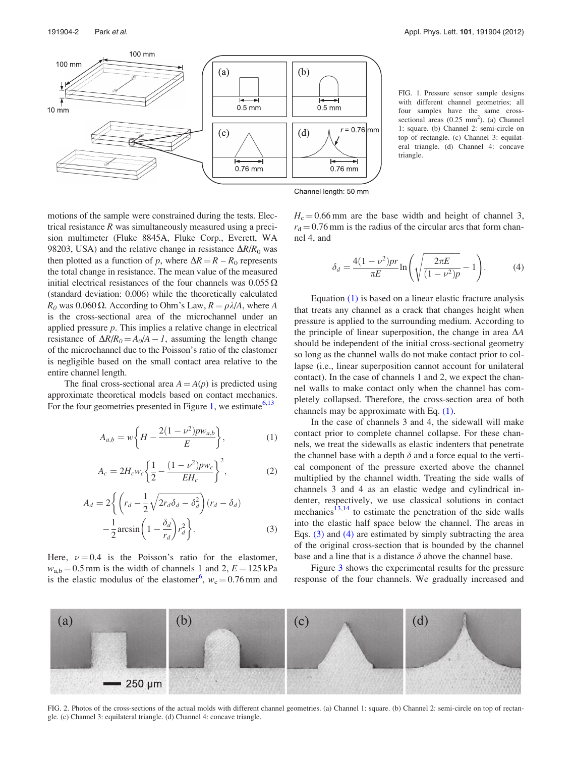<span id="page-2-0"></span>

FIG. 1. Pressure sensor sample designs with different channel geometries; all four samples have the same crosssectional areas  $(0.25 \text{ mm}^2)$ . (a) Channel 1: square. (b) Channel 2: semi-circle on top of rectangle. (c) Channel 3: equilateral triangle. (d) Channel 4: concave triangle.

Channel length: 50 mm

motions of the sample were constrained during the tests. Electrical resistance  $R$  was simultaneously measured using a precision multimeter (Fluke 8845A, Fluke Corp., Everett, WA 98203, USA) and the relative change in resistance  $\Delta R/R_0$  was then plotted as a function of p, where  $\Delta R = R - R_0$  represents the total change in resistance. The mean value of the measured initial electrical resistances of the four channels was  $0.055 \Omega$ (standard deviation: 0.006) while the theoretically calculated  $R_0$  was 0.060  $\Omega$ . According to Ohm's Law,  $R = \rho \lambda/A$ , where A is the cross-sectional area of the microchannel under an applied pressure  $p$ . This implies a relative change in electrical resistance of  $\Delta R/R_0 = A_0/A - I$ , assuming the length change of the microchannel due to the Poisson's ratio of the elastomer is negligible based on the small contact area relative to the entire channel length.

The final cross-sectional area  $A = A(p)$  is predicted using approximate theoretical models based on contact mechanics. For the four geometries presented in Figure 1, we estimate  $6,13$ 

$$
A_{a,b} = w \left\{ H - \frac{2(1 - \nu^2) p w_{a,b}}{E} \right\},
$$
 (1)

$$
A_c = 2H_c w_c \left\{ \frac{1}{2} - \frac{(1 - \nu^2)pw_c}{EH_c} \right\}^2, \tag{2}
$$

$$
A_d = 2\left\{ \left( r_d - \frac{1}{2} \sqrt{2r_d \delta_d - \delta_d^2} \right) (r_d - \delta_d) - \frac{1}{2} \arcsin \left( 1 - \frac{\delta_d}{r_d} \right) r_d^2 \right\}.
$$
 (3)

Here,  $\nu = 0.4$  is the Poisson's ratio for the elastomer,  $w_{a,b} = 0.5$  mm is the width of channels 1 and 2,  $E = 125$  kPa is the elastic modulus of the elastomer<sup>[6](#page-4-0)</sup>,  $w_c = 0.76$  mm and

 $H_c = 0.66$  mm are the base width and height of channel 3,  $r_d = 0.76$  mm is the radius of the circular arcs that form channel 4, and

$$
\delta_d = \frac{4(1 - \nu^2)pr}{\pi E} \ln \left( \sqrt{\frac{2\pi E}{(1 - \nu^2)p}} - 1 \right).
$$
 (4)

Equation (1) is based on a linear elastic fracture analysis that treats any channel as a crack that changes height when pressure is applied to the surrounding medium. According to the principle of linear superposition, the change in area  $\Delta A$ should be independent of the initial cross-sectional geometry so long as the channel walls do not make contact prior to collapse (i.e., linear superposition cannot account for unilateral contact). In the case of channels 1 and 2, we expect the channel walls to make contact only when the channel has completely collapsed. Therefore, the cross-section area of both channels may be approximate with Eq. (1).

In the case of channels 3 and 4, the sidewall will make contact prior to complete channel collapse. For these channels, we treat the sidewalls as elastic indenters that penetrate the channel base with a depth  $\delta$  and a force equal to the vertical component of the pressure exerted above the channel multiplied by the channel width. Treating the side walls of channels 3 and 4 as an elastic wedge and cylindrical indenter, respectively, we use classical solutions in contact mechanics<sup>[13,14](#page-4-0)</sup> to estimate the penetration of the side walls into the elastic half space below the channel. The areas in Eqs. (3) and (4) are estimated by simply subtracting the area of the original cross-section that is bounded by the channel base and a line that is a distance  $\delta$  above the channel base.

Figure [3](#page-3-0) shows the experimental results for the pressure response of the four channels. We gradually increased and



FIG. 2. Photos of the cross-sections of the actual molds with different channel geometries. (a) Channel 1: square. (b) Channel 2: semi-circle on top of rectangle. (c) Channel 3: equilateral triangle. (d) Channel 4: concave triangle.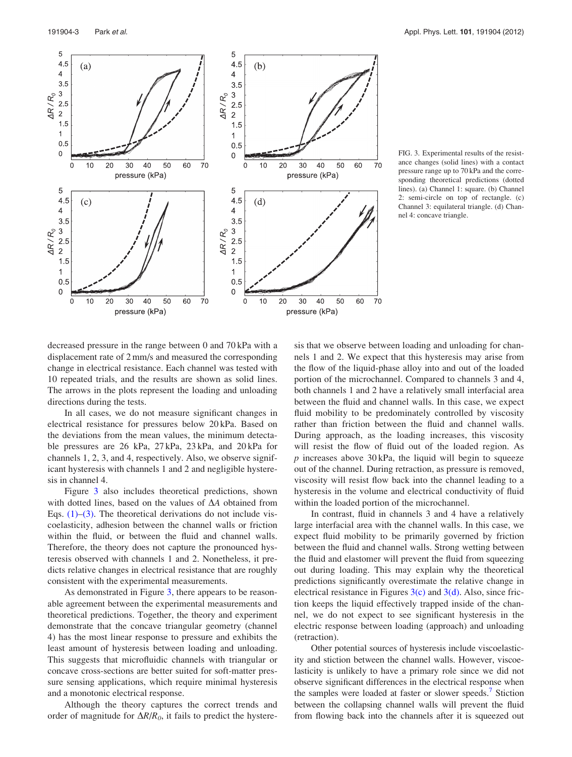<span id="page-3-0"></span>

FIG. 3. Experimental results of the resistance changes (solid lines) with a contact pressure range up to 70 kPa and the corresponding theoretical predictions (dotted lines). (a) Channel 1: square. (b) Channel 2: semi-circle on top of rectangle. (c) Channel 3: equilateral triangle. (d) Channel 4: concave triangle.

decreased pressure in the range between 0 and 70 kPa with a displacement rate of 2 mm/s and measured the corresponding change in electrical resistance. Each channel was tested with 10 repeated trials, and the results are shown as solid lines. The arrows in the plots represent the loading and unloading directions during the tests.

In all cases, we do not measure significant changes in electrical resistance for pressures below 20 kPa. Based on the deviations from the mean values, the minimum detectable pressures are 26 kPa, 27 kPa, 23 kPa, and 20 kPa for channels 1, 2, 3, and 4, respectively. Also, we observe significant hysteresis with channels 1 and 2 and negligible hysteresis in channel 4.

Figure 3 also includes theoretical predictions, shown with dotted lines, based on the values of  $\Delta A$  obtained from Eqs.  $(1)$ – $(3)$ . The theoretical derivations do not include viscoelasticity, adhesion between the channel walls or friction within the fluid, or between the fluid and channel walls. Therefore, the theory does not capture the pronounced hysteresis observed with channels 1 and 2. Nonetheless, it predicts relative changes in electrical resistance that are roughly consistent with the experimental measurements.

As demonstrated in Figure 3, there appears to be reasonable agreement between the experimental measurements and theoretical predictions. Together, the theory and experiment demonstrate that the concave triangular geometry (channel 4) has the most linear response to pressure and exhibits the least amount of hysteresis between loading and unloading. This suggests that microfluidic channels with triangular or concave cross-sections are better suited for soft-matter pressure sensing applications, which require minimal hysteresis and a monotonic electrical response.

Although the theory captures the correct trends and order of magnitude for  $\Delta R/R_0$ , it fails to predict the hysteresis that we observe between loading and unloading for channels 1 and 2. We expect that this hysteresis may arise from the flow of the liquid-phase alloy into and out of the loaded portion of the microchannel. Compared to channels 3 and 4, both channels 1 and 2 have a relatively small interfacial area between the fluid and channel walls. In this case, we expect fluid mobility to be predominately controlled by viscosity rather than friction between the fluid and channel walls. During approach, as the loading increases, this viscosity will resist the flow of fluid out of the loaded region. As  $p$  increases above 30 kPa, the liquid will begin to squeeze out of the channel. During retraction, as pressure is removed, viscosity will resist flow back into the channel leading to a hysteresis in the volume and electrical conductivity of fluid within the loaded portion of the microchannel.

In contrast, fluid in channels 3 and 4 have a relatively large interfacial area with the channel walls. In this case, we expect fluid mobility to be primarily governed by friction between the fluid and channel walls. Strong wetting between the fluid and elastomer will prevent the fluid from squeezing out during loading. This may explain why the theoretical predictions significantly overestimate the relative change in electrical resistance in Figures  $3(c)$  and  $3(d)$ . Also, since friction keeps the liquid effectively trapped inside of the channel, we do not expect to see significant hysteresis in the electric response between loading (approach) and unloading (retraction).

Other potential sources of hysteresis include viscoelasticity and stiction between the channel walls. However, viscoelasticity is unlikely to have a primary role since we did not observe significant differences in the electrical response when the samples were loaded at faster or slower speeds.<sup>7</sup> Stiction between the collapsing channel walls will prevent the fluid from flowing back into the channels after it is squeezed out